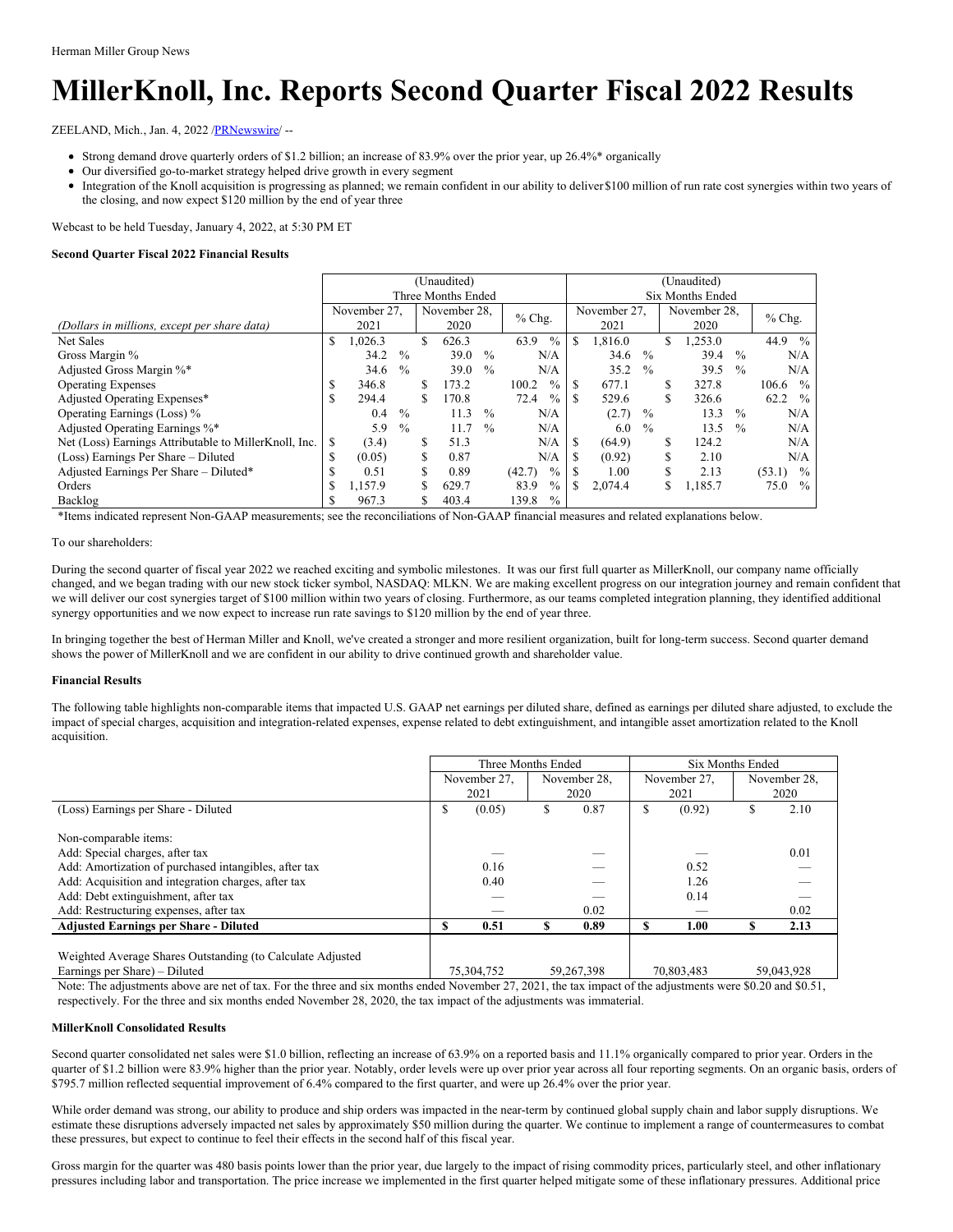# **MillerKnoll, Inc. Reports Second Quarter Fiscal 2022 Results**

ZEELAND, Mich., Jan. 4, 2022 [/PRNewswire](http://www.prnewswire.com/)/ --

- Strong demand drove quarterly orders of \$1.2 billion; an increase of 83.9% over the prior year, up 26.4%\* organically
- Our diversified go-to-market strategy helped drive growth in every segment
- Integration of the Knoll acquisition is progressing as planned; we remain confident in our ability to deliver\$100 million of run rate cost synergies within two years of the closing, and now expect \$120 million by the end of year three

Webcast to be held Tuesday, January 4, 2022, at 5:30 PM ET

# **Second Quarter Fiscal 2022 Financial Results**

|                                                        |           |              |               |      | (Unaudited)        |                |                        |               |              |               |      | (Unaudited)      |                         |                        |
|--------------------------------------------------------|-----------|--------------|---------------|------|--------------------|----------------|------------------------|---------------|--------------|---------------|------|------------------|-------------------------|------------------------|
|                                                        |           |              |               |      | Three Months Ended |                |                        |               |              |               |      | Six Months Ended |                         |                        |
|                                                        |           | November 27, |               |      | November 28,       |                | $%$ Chg.               |               | November 27, |               |      | November 28,     |                         | $%$ Chg.               |
| (Dollars in millions, except per share data)           |           | 2021         |               |      | 2020               |                |                        |               | 2021         |               |      | 2020             |                         |                        |
| Net Sales                                              | S         | .026.3       |               | \$   | 626.3              |                | 63.9<br>$\%$           | \$            | 1.816.0      |               | S.   | .253.0           |                         | 44.9<br>$\frac{0}{0}$  |
| Gross Margin %                                         |           | 34.2         | $\frac{0}{0}$ |      | 39.0               | $\frac{0}{0}$  | N/A                    |               | 34.6         | $\frac{0}{0}$ |      | 39.4             | $\frac{0}{0}$           | N/A                    |
| Adjusted Gross Margin %*                               |           | 34.6         | $\frac{0}{0}$ |      | 39.0               | $\frac{0}{0}$  | N/A                    |               | 35.2         | $\frac{0}{0}$ |      | 39.5             | $\frac{0}{0}$           | N/A                    |
| <b>Operating Expenses</b>                              | ъ         | 346.8        |               |      | 173.2              |                | $\frac{0}{0}$<br>100.2 | <sup>\$</sup> | 677.1        |               | S.   | 327.8            |                         | 106.6<br>$\frac{0}{0}$ |
| Adjusted Operating Expenses*                           | S         | 294.4        |               | S    | 170.8              |                | 72.4<br>$\frac{0}{0}$  | \$.           | 529.6        |               | \$   | 326.6            |                         | 62.2<br>$\frac{0}{0}$  |
| Operating Earnings (Loss) %                            |           | 0.4          | $\frac{0}{0}$ |      | 11.3               | $\frac{0}{0}$  | N/A                    |               | (2.7)        | $\frac{0}{0}$ |      | 13.3             | $\frac{0}{0}$           | N/A                    |
| Adjusted Operating Earnings %*                         |           | 5.9          | $\frac{0}{0}$ |      | 11.7               | $\frac{0}{0}$  | N/A                    |               | 6.0          | $\%$          |      | 13.5             | $\frac{0}{0}$           | N/A                    |
| Net (Loss) Earnings Attributable to Miller Knoll, Inc. | S         | (3.4)        |               | \$   | 51.3               |                | N/A                    | S             | (64.9)       |               | \$   | 124.2            |                         | N/A                    |
| (Loss) Earnings Per Share – Diluted                    | ¢<br>D    | (0.05)       |               | \$   | 0.87               |                | N/A                    | S             | (0.92)       |               | \$   | 2.10             |                         | N/A                    |
| Adjusted Earnings Per Share - Diluted*                 | 0.51<br>ъ |              | \$            | 0.89 |                    | (42.7)<br>$\%$ | S                      | 1.00          |              | \$            | 2.13 |                  | $\frac{0}{0}$<br>(53.1) |                        |
| Orders                                                 | \$        | 1.157.9      |               | \$   | 629.7              |                | 83.9<br>$\%$           | \$            | 2,074.4      |               | S.   | 1.185.7          |                         | 75.0<br>$\frac{0}{0}$  |
| Backlog                                                | ъ         | 967.3        |               |      | 403.4              |                | $\%$<br>139.8          |               |              |               |      |                  |                         |                        |

\*Items indicated represent Non-GAAP measurements; see the reconciliations of Non-GAAP financial measures and related explanations below.

# To our shareholders:

During the second quarter of fiscal year 2022 we reached exciting and symbolic milestones. It was our first full quarter as MillerKnoll, our company name officially changed, and we began trading with our new stock ticker symbol, NASDAQ: MLKN. We are making excellent progress on our integration journey and remain confident that we will deliver our cost synergies target of \$100 million within two years of closing. Furthermore, as our teams completed integration planning, they identified additional synergy opportunities and we now expect to increase run rate savings to \$120 million by the end of year three.

In bringing together the best of Herman Miller and Knoll, we've created a stronger and more resilient organization, built for long-term success. Second quarter demand shows the power of MillerKnoll and we are confident in our ability to drive continued growth and shareholder value.

## **Financial Results**

The following table highlights non-comparable items that impacted U.S. GAAP net earnings per diluted share, defined as earnings per diluted share adjusted, to exclude the impact of special charges, acquisition and integration-related expenses, expense related to debt extinguishment, and intangible asset amortization related to the Knoll acquisition.

|                                                            |    | Three Months Ended |              |   | <b>Six Months Ended</b> |   |              |
|------------------------------------------------------------|----|--------------------|--------------|---|-------------------------|---|--------------|
|                                                            |    | November 27,       | November 28. |   | November 27.            |   | November 28, |
|                                                            |    | 2021               | 2020         |   | 2021                    |   | 2020         |
| (Loss) Earnings per Share - Diluted                        | \$ | (0.05)             | 0.87         | S | (0.92)                  | S | 2.10         |
|                                                            |    |                    |              |   |                         |   |              |
| Non-comparable items:                                      |    |                    |              |   |                         |   |              |
| Add: Special charges, after tax                            |    |                    |              |   |                         |   | 0.01         |
| Add: Amortization of purchased intangibles, after tax      |    | 0.16               |              |   | 0.52                    |   |              |
| Add: Acquisition and integration charges, after tax        |    | 0.40               |              |   | 1.26                    |   |              |
| Add: Debt extinguishment, after tax                        |    |                    |              |   | 0.14                    |   |              |
| Add: Restructuring expenses, after tax                     |    |                    | 0.02         |   |                         |   | 0.02         |
| <b>Adjusted Earnings per Share - Diluted</b>               | S  | 0.51               | 0.89         | S | 1.00                    |   | 2.13         |
|                                                            |    |                    |              |   |                         |   |              |
| Weighted Average Shares Outstanding (to Calculate Adjusted |    |                    |              |   |                         |   |              |
| Earnings per Share) – Diluted                              |    | 75.304.752         | 59,267,398   |   | 70.803.483              |   | 59.043.928   |

Note: The adjustments above are net of tax. For the three and six months ended November 27, 2021, the tax impact of the adjustments were \$0.20 and \$0.51, respectively. For the three and six months ended November 28, 2020, the tax impact of the adjustments was immaterial.

## **MillerKnoll Consolidated Results**

Second quarter consolidated net sales were \$1.0 billion, reflecting an increase of 63.9% on a reported basis and 11.1% organically compared to prior year. Orders in the quarter of \$1.2 billion were 83.9% higher than the prior year. Notably, order levels were up over prior year across all four reporting segments. On an organic basis, orders of \$795.7 million reflected sequential improvement of 6.4% compared to the first quarter, and were up 26.4% over the prior year.

While order demand was strong, our ability to produce and ship orders was impacted in the near-term by continued global supply chain and labor supply disruptions. We estimate these disruptions adversely impacted net sales by approximately \$50 million during the quarter. We continue to implement a range of countermeasures to combat these pressures, but expect to continue to feel their effects in the second half of this fiscal year.

Gross margin for the quarter was 480 basis points lower than the prior year, due largely to the impact of rising commodity prices, particularly steel, and other inflationary pressures including labor and transportation. The price increase we implemented in the first quarter helped mitigate some of these inflationary pressures. Additional price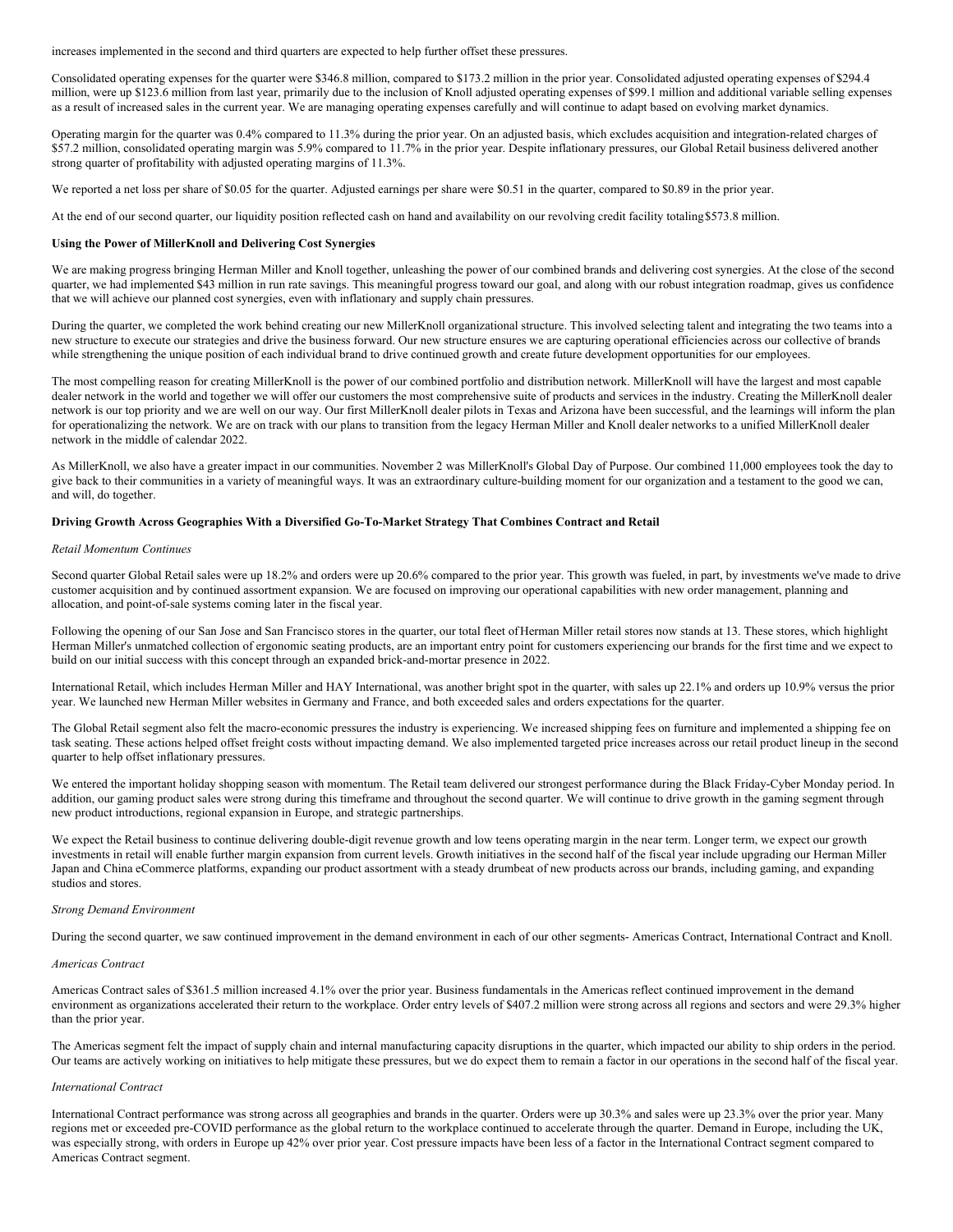increases implemented in the second and third quarters are expected to help further offset these pressures.

Consolidated operating expenses for the quarter were \$346.8 million, compared to \$173.2 million in the prior year. Consolidated adjusted operating expenses of \$294.4 million, were up \$123.6 million from last year, primarily due to the inclusion of Knoll adjusted operating expenses of \$99.1 million and additional variable selling expenses as a result of increased sales in the current year. We are managing operating expenses carefully and will continue to adapt based on evolving market dynamics.

Operating margin for the quarter was 0.4% compared to 11.3% during the prior year. On an adjusted basis, which excludes acquisition and integration-related charges of \$57.2 million, consolidated operating margin was 5.9% compared to 11.7% in the prior year. Despite inflationary pressures, our Global Retail business delivered another strong quarter of profitability with adjusted operating margins of 11.3%.

We reported a net loss per share of \$0.05 for the quarter. Adjusted earnings per share were \$0.51 in the quarter, compared to \$0.89 in the prior year.

At the end of our second quarter, our liquidity position reflected cash on hand and availability on our revolving credit facility totaling\$573.8 million.

#### **Using the Power of MillerKnoll and Delivering Cost Synergies**

We are making progress bringing Herman Miller and Knoll together, unleashing the power of our combined brands and delivering cost synergies. At the close of the second quarter, we had implemented \$43 million in run rate savings. This meaningful progress toward our goal, and along with our robust integration roadmap, gives us confidence that we will achieve our planned cost synergies, even with inflationary and supply chain pressures.

During the quarter, we completed the work behind creating our new MillerKnoll organizational structure. This involved selecting talent and integrating the two teams into a new structure to execute our strategies and drive the business forward. Our new structure ensures we are capturing operational efficiencies across our collective of brands while strengthening the unique position of each individual brand to drive continued growth and create future development opportunities for our employees.

The most compelling reason for creating MillerKnoll is the power of our combined portfolio and distribution network. MillerKnoll will have the largest and most capable dealer network in the world and together we will offer our customers the most comprehensive suite of products and services in the industry. Creating the MillerKnoll dealer network is our top priority and we are well on our way. Our first MillerKnoll dealer pilots in Texas and Arizona have been successful, and the learnings will inform the plan for operationalizing the network. We are on track with our plans to transition from the legacy Herman Miller and Knoll dealer networks to a unified MillerKnoll dealer network in the middle of calendar 2022.

As MillerKnoll, we also have a greater impact in our communities. November 2 was MillerKnoll's Global Day of Purpose. Our combined 11,000 employees took the day to give back to their communities in a variety of meaningful ways. It was an extraordinary culture-building moment for our organization and a testament to the good we can, and will, do together.

# **Driving Growth Across Geographies With a Diversified Go-To-Market Strategy That Combines Contract and Retail**

## *Retail Momentum Continues*

Second quarter Global Retail sales were up 18.2% and orders were up 20.6% compared to the prior year. This growth was fueled, in part, by investments we've made to drive customer acquisition and by continued assortment expansion. We are focused on improving our operational capabilities with new order management, planning and allocation, and point-of-sale systems coming later in the fiscal year.

Following the opening of our San Jose and San Francisco stores in the quarter, our total fleet ofHerman Miller retail stores now stands at 13. These stores, which highlight Herman Miller's unmatched collection of ergonomic seating products, are an important entry point for customers experiencing our brands for the first time and we expect to build on our initial success with this concept through an expanded brick-and-mortar presence in 2022.

International Retail, which includes Herman Miller and HAY International, was another bright spot in the quarter, with sales up 22.1% and orders up 10.9% versus the prior year. We launched new Herman Miller websites in Germany and France, and both exceeded sales and orders expectations for the quarter.

The Global Retail segment also felt the macro-economic pressures the industry is experiencing. We increased shipping fees on furniture and implemented a shipping fee on task seating. These actions helped offset freight costs without impacting demand. We also implemented targeted price increases across our retail product lineup in the second quarter to help offset inflationary pressures.

We entered the important holiday shopping season with momentum. The Retail team delivered our strongest performance during the Black Friday-Cyber Monday period. In addition, our gaming product sales were strong during this timeframe and throughout the second quarter. We will continue to drive growth in the gaming segment through new product introductions, regional expansion in Europe, and strategic partnerships.

We expect the Retail business to continue delivering double-digit revenue growth and low teens operating margin in the near term. Longer term, we expect our growth investments in retail will enable further margin expansion from current levels. Growth initiatives in the second half of the fiscal year include upgrading our Herman Miller Japan and China eCommerce platforms, expanding our product assortment with a steady drumbeat of new products across our brands, including gaming, and expanding studios and stores.

#### *Strong Demand Environment*

During the second quarter, we saw continued improvement in the demand environment in each of our other segments- Americas Contract, International Contract and Knoll.

#### *Americas Contract*

Americas Contract sales of \$361.5 million increased 4.1% over the prior year. Business fundamentals in the Americas reflect continued improvement in the demand environment as organizations accelerated their return to the workplace. Order entry levels of \$407.2 million were strong across all regions and sectors and were 29.3% higher than the prior year.

The Americas segment felt the impact of supply chain and internal manufacturing capacity disruptions in the quarter, which impacted our ability to ship orders in the period. Our teams are actively working on initiatives to help mitigate these pressures, but we do expect them to remain a factor in our operations in the second half of the fiscal year.

#### *International Contract*

International Contract performance was strong across all geographies and brands in the quarter. Orders were up 30.3% and sales were up 23.3% over the prior year. Many regions met or exceeded pre-COVID performance as the global return to the workplace continued to accelerate through the quarter. Demand in Europe, including the UK, was especially strong, with orders in Europe up 42% over prior year. Cost pressure impacts have been less of a factor in the International Contract segment compared to Americas Contract segment.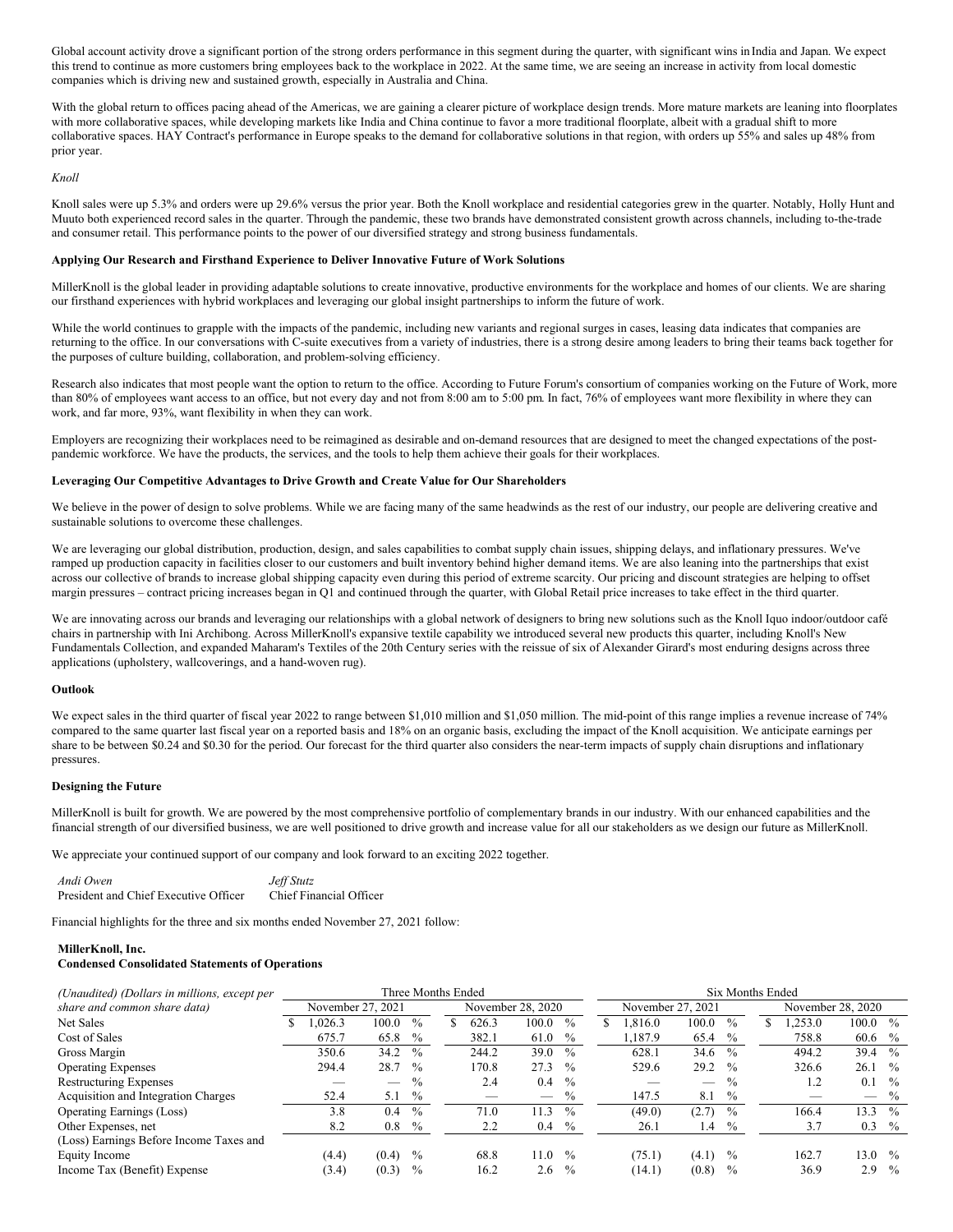Global account activity drove a significant portion of the strong orders performance in this segment during the quarter, with significant wins in India and Japan. We expect this trend to continue as more customers bring employees back to the workplace in 2022. At the same time, we are seeing an increase in activity from local domestic companies which is driving new and sustained growth, especially in Australia and China.

With the global return to offices pacing ahead of the Americas, we are gaining a clearer picture of workplace design trends. More mature markets are leaning into floorplates with more collaborative spaces, while developing markets like India and China continue to favor a more traditional floorplate, albeit with a gradual shift to more collaborative spaces. HAY Contract's performance in Europe speaks to the demand for collaborative solutions in that region, with orders up 55% and sales up 48% from prior year.

# *Knoll*

Knoll sales were up 5.3% and orders were up 29.6% versus the prior year. Both the Knoll workplace and residential categories grew in the quarter. Notably, Holly Hunt and Muuto both experienced record sales in the quarter. Through the pandemic, these two brands have demonstrated consistent growth across channels, including to-the-trade and consumer retail. This performance points to the power of our diversified strategy and strong business fundamentals.

#### **Applying Our Research and Firsthand Experience to Deliver Innovative Future of Work Solutions**

MillerKnoll is the global leader in providing adaptable solutions to create innovative, productive environments for the workplace and homes of our clients. We are sharing our firsthand experiences with hybrid workplaces and leveraging our global insight partnerships to inform the future of work.

While the world continues to grapple with the impacts of the pandemic, including new variants and regional surges in cases, leasing data indicates that companies are returning to the office. In our conversations with C-suite executives from a variety of industries, there is a strong desire among leaders to bring their teams back together for the purposes of culture building, collaboration, and problem-solving efficiency.

Research also indicates that most people want the option to return to the office. According to Future Forum's consortium of companies working on the Future of Work, more than 80% of employees want access to an office, but not every day and not from 8:00 am to 5:00 pm. In fact, 76% of employees want more flexibility in where they can work, and far more, 93%, want flexibility in when they can work.

Employers are recognizing their workplaces need to be reimagined as desirable and on-demand resources that are designed to meet the changed expectations of the postpandemic workforce. We have the products, the services, and the tools to help them achieve their goals for their workplaces.

# **Leveraging Our Competitive Advantages to Drive Growth and Create Value for Our Shareholders**

We believe in the power of design to solve problems. While we are facing many of the same headwinds as the rest of our industry, our people are delivering creative and sustainable solutions to overcome these challenges.

We are leveraging our global distribution, production, design, and sales capabilities to combat supply chain issues, shipping delays, and inflationary pressures. We've ramped up production capacity in facilities closer to our customers and built inventory behind higher demand items. We are also leaning into the partnerships that exist across our collective of brands to increase global shipping capacity even during this period of extreme scarcity. Our pricing and discount strategies are helping to offset margin pressures – contract pricing increases began in Q1 and continued through the quarter, with Global Retail price increases to take effect in the third quarter.

We are innovating across our brands and leveraging our relationships with a global network of designers to bring new solutions such as the Knoll Iquo indoor/outdoor café chairs in partnership with Ini Archibong. Across MillerKnoll's expansive textile capability we introduced several new products this quarter, including Knoll's New Fundamentals Collection, and expanded Maharam's Textiles of the 20th Century series with the reissue of six of Alexander Girard's most enduring designs across three applications (upholstery, wallcoverings, and a hand-woven rug).

#### **Outlook**

We expect sales in the third quarter of fiscal year 2022 to range between \$1,010 million and \$1,050 million. The mid-point of this range implies a revenue increase of 74% compared to the same quarter last fiscal year on a reported basis and 18% on an organic basis, excluding the impact of the Knoll acquisition. We anticipate earnings per share to be between \$0.24 and \$0.30 for the period. Our forecast for the third quarter also considers the near-term impacts of supply chain disruptions and inflationary pressures.

## **Designing the Future**

MillerKnoll is built for growth. We are powered by the most comprehensive portfolio of complementary brands in our industry. With our enhanced capabilities and the financial strength of our diversified business, we are well positioned to drive growth and increase value for all our stakeholders as we design our future as MillerKnoll.

We appreciate your continued support of our company and look forward to an exciting 2022 together.

| Andi Owen                             | <i>Jeff Stutz</i>       |
|---------------------------------------|-------------------------|
| President and Chief Executive Officer | Chief Financial Officer |

Financial highlights for the three and six months ended November 27, 2021 follow:

# **MillerKnoll, Inc.**

# **Condensed Consolidated Statements of Operations**

| (Unaudited) (Dollars in millions, except per | Three Months Ended |                   |       |               |  |       |                   |               |    |                   |                                 | <b>Six Months Ended</b> |   |                   |       |               |
|----------------------------------------------|--------------------|-------------------|-------|---------------|--|-------|-------------------|---------------|----|-------------------|---------------------------------|-------------------------|---|-------------------|-------|---------------|
| share and common share data)                 |                    | November 27, 2021 |       |               |  |       | November 28, 2020 |               |    | November 27, 2021 |                                 |                         |   | November 28, 2020 |       |               |
| Net Sales                                    |                    | .026.3            | 100.0 | $\frac{0}{0}$ |  | 626.3 | 100.0             | $\frac{0}{0}$ | S. | .816.0            | 100.0                           | $\%$                    | S | .253.0            | 100.0 | $\frac{0}{0}$ |
| Cost of Sales                                |                    | 675.7             | 65.8  | $\%$          |  | 382.1 | 61.0              | $\%$          |    | 1.187.9           | 65.4                            | $\%$                    |   | 758.8             | 60.6  | $\frac{0}{0}$ |
| Gross Margin                                 |                    | 350.6             | 34.2  | $\frac{0}{0}$ |  | 244.2 | 39.0              | $\frac{0}{0}$ |    | 628.1             | 34.6                            | $\frac{0}{0}$           |   | 494.2             | 39.4  | $^{0}/_{0}$   |
| <b>Operating Expenses</b>                    |                    | 294.4             | 28.7  | $\frac{0}{0}$ |  | 70.8  | 27.3              | $\frac{0}{0}$ |    | 529.6             | 29.2                            | $\frac{0}{0}$           |   | 326.6             | 26.1  | $\frac{0}{0}$ |
| <b>Restructuring Expenses</b>                |                    |                   |       | $\frac{0}{0}$ |  | 2.4   | 0.4               | $\frac{0}{0}$ |    |                   | $\hspace{0.1mm}-\hspace{0.1mm}$ | $\%$                    |   | 1.2               | 0.1   | $\%$          |
| Acquisition and Integration Charges          |                    | 52.4              | 5.1   | $\%$          |  | __    |                   | $\%$          |    | 147.5             | 8.1                             | $\%$                    |   |                   |       | $\%$          |
| <b>Operating Earnings (Loss)</b>             |                    | 3.8               | 0.4   | $\frac{0}{0}$ |  | 71.0  | 11.3              | $\frac{0}{0}$ |    | (49.0)            | (2.7)                           | $\%$                    |   | 166.4             | 13.3  | $\frac{0}{0}$ |
| Other Expenses, net                          |                    | 8.2               | 0.8   | $\%$          |  | 2.2   | 0.4               | $\%$          |    | 26.1              | 1.4                             | $\%$                    |   | 3.7               | 0.3   | $\%$          |
| (Loss) Earnings Before Income Taxes and      |                    |                   |       |               |  |       |                   |               |    |                   |                                 |                         |   |                   |       |               |
| Equity Income                                |                    | (4.4)             | (0.4) | $\%$          |  | 68.8  | 11.0              | $\frac{0}{0}$ |    | (75.1)            | (4.1)                           | $\frac{0}{0}$           |   | 162.7             | 13.0  | $^{0}/_{0}$   |
| Income Tax (Benefit) Expense                 |                    | (3.4)             | (0.3) | $\%$          |  | 16.2  | 2.6               | $\frac{0}{0}$ |    | (14.1)            | (0.8)                           | $\%$                    |   | 36.9              | 2.9   | $\frac{0}{0}$ |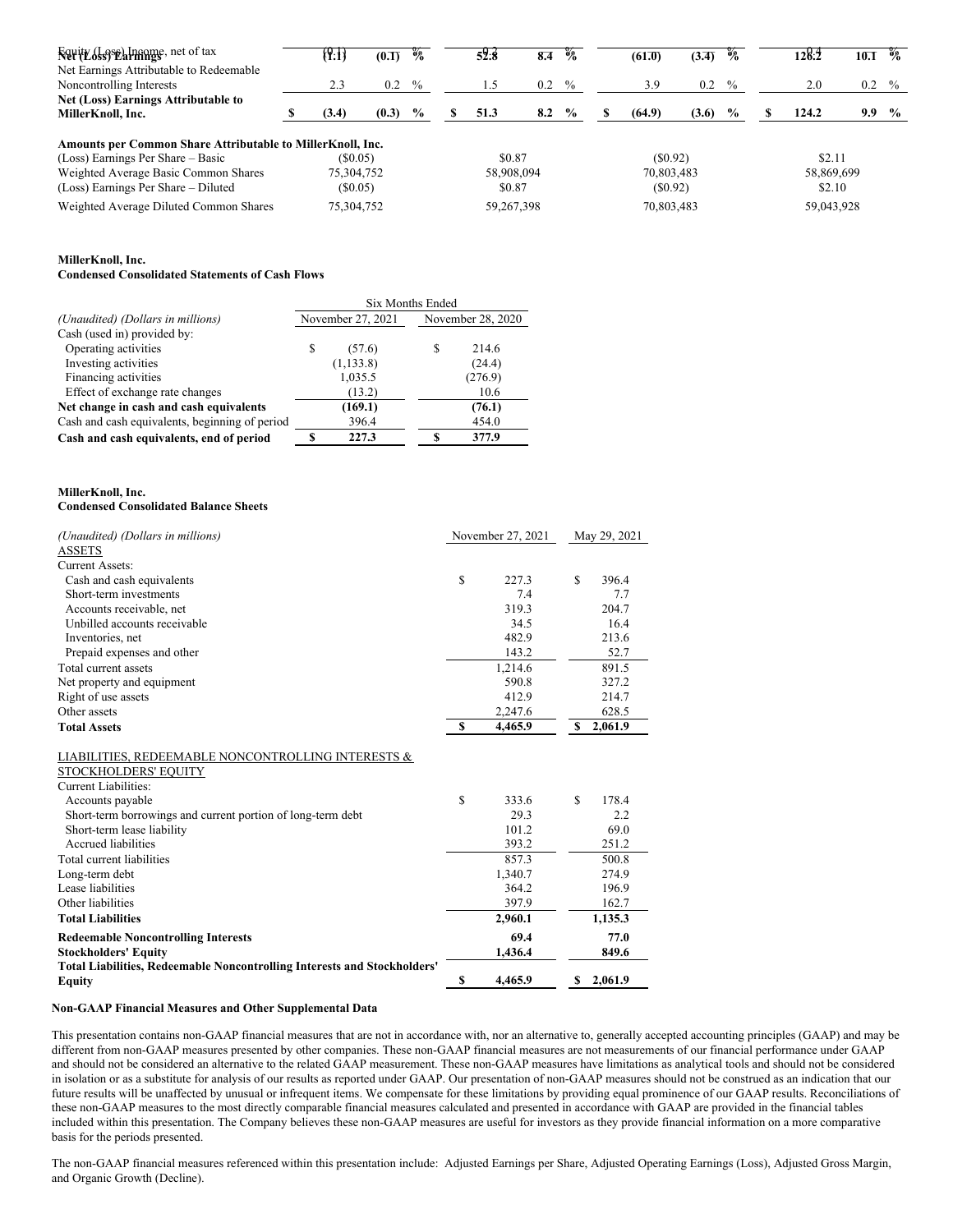| Revite 6589 Earnange, net of tax<br>Net Earnings Attributable to Redeemable | (Y:1)      | (0.1) | $\frac{90}{6}$ | 52.8       | 8.4 | $\frac{9}{6}$ | (61.0)     | (3.4) | $\frac{9}{6}$ | 128.2      | 10.T      | $\mathbf{v}_0$ |
|-----------------------------------------------------------------------------|------------|-------|----------------|------------|-----|---------------|------------|-------|---------------|------------|-----------|----------------|
| Noncontrolling Interests                                                    | 2.3        | 0.2   | $\%$           | 1.5        | 0.2 | $\%$          | 3.9        | 0.2   | $\%$          | 2.0        | $0.2 \t%$ |                |
| <b>Net (Loss) Earnings Attributable to</b>                                  |            |       |                |            |     |               |            |       |               |            |           |                |
| MillerKnoll, Inc.                                                           | (3.4)      | (0.3) | $\frac{6}{9}$  | 51.3       | 8.2 | $\frac{0}{0}$ | (64.9)     | (3.6) | $\frac{6}{9}$ | 124.2      | 9.9 $%$   |                |
| Amounts per Common Share Attributable to Miller Knoll, Inc.                 |            |       |                |            |     |               |            |       |               |            |           |                |
| (Loss) Earnings Per Share – Basic                                           | (S0.05)    |       |                | \$0.87     |     |               | (S0.92)    |       |               | \$2.11     |           |                |
| Weighted Average Basic Common Shares                                        | 75,304,752 |       |                | 58,908,094 |     |               | 70,803,483 |       |               | 58,869,699 |           |                |
| (Loss) Earnings Per Share – Diluted                                         | (S0.05)    |       | \$0.87         |            |     | (S0.92)       |            |       | \$2.10        |            |           |                |
| Weighted Average Diluted Common Shares                                      | 75,304,752 |       |                | 59,267,398 |     |               | 70,803,483 |       |               | 59,043,928 |           |                |

# **MillerKnoll, Inc.**

## **Condensed Consolidated Statements of Cash Flows**

|                                                |   | <b>Six Months Ended</b> |    |                   |
|------------------------------------------------|---|-------------------------|----|-------------------|
| (Unaudited) (Dollars in millions)              |   | November 27, 2021       |    | November 28, 2020 |
| Cash (used in) provided by:                    |   |                         |    |                   |
| Operating activities                           | S | (57.6)                  | S  | 214.6             |
| Investing activities                           |   | (1, 133.8)              |    | (24.4)            |
| Financing activities                           |   | 1,035.5                 |    | (276.9)           |
| Effect of exchange rate changes                |   | (13.2)                  |    | 10.6              |
| Net change in cash and cash equivalents        |   | (169.1)                 |    | (76.1)            |
| Cash and cash equivalents, beginning of period |   | 396.4                   |    | 454.0             |
| Cash and cash equivalents, end of period       |   | 227.3                   | \$ | 377.9             |

# **MillerKnoll, Inc.**

# **Condensed Consolidated Balance Sheets**

| (Unaudited) (Dollars in millions)                                                                     | November 27, 2021 |    | May 29, 2021 |
|-------------------------------------------------------------------------------------------------------|-------------------|----|--------------|
| <b>ASSETS</b>                                                                                         |                   |    |              |
| <b>Current Assets:</b>                                                                                |                   |    |              |
| Cash and cash equivalents                                                                             | \$<br>227.3       | S  | 396.4        |
| Short-term investments                                                                                | 7.4               |    | 7.7          |
| Accounts receivable, net                                                                              | 319.3             |    | 204.7        |
| Unbilled accounts receivable                                                                          | 34.5              |    | 16.4         |
| Inventories, net                                                                                      | 482.9             |    | 213.6        |
| Prepaid expenses and other                                                                            | 143.2             |    | 52.7         |
| Total current assets                                                                                  | 1,214.6           |    | 891.5        |
| Net property and equipment                                                                            | 590.8             |    | 327.2        |
| Right of use assets                                                                                   | 412.9             |    | 214.7        |
| Other assets                                                                                          | 2,247.6           |    | 628.5        |
| <b>Total Assets</b>                                                                                   | \$<br>4,465.9     | S  | 2,061.9      |
| LIABILITIES, REDEEMABLE NONCONTROLLING INTERESTS $\&$<br>STOCKHOLDERS' EQUITY<br>Current Liabilities: |                   |    |              |
| Accounts payable                                                                                      | \$<br>333.6       | S  | 178.4        |
| Short-term borrowings and current portion of long-term debt                                           | 29.3              |    | 2.2          |
| Short-term lease liability                                                                            | 101.2             |    | 69.0         |
| Accrued liabilities                                                                                   | 393.2             |    | 251.2        |
| Total current liabilities                                                                             | 857.3             |    | 500.8        |
| Long-term debt                                                                                        | 1,340.7           |    | 274.9        |
| Lease liabilities                                                                                     | 364.2             |    | 196.9        |
| Other liabilities                                                                                     | 397.9             |    | 162.7        |
| <b>Total Liabilities</b>                                                                              | 2,960.1           |    | 1,135.3      |
| <b>Redeemable Noncontrolling Interests</b>                                                            | 69.4              |    | 77.0         |
| <b>Stockholders' Equity</b>                                                                           | 1,436.4           |    | 849.6        |
| <b>Total Liabilities, Redeemable Noncontrolling Interests and Stockholders'</b>                       |                   |    |              |
| <b>Equity</b>                                                                                         | \$<br>4,465.9     | \$ | 2,061.9      |

## **Non-GAAP Financial Measures and Other Supplemental Data**

This presentation contains non-GAAP financial measures that are not in accordance with, nor an alternative to, generally accepted accounting principles (GAAP) and may be different from non-GAAP measures presented by other companies. These non-GAAP financial measures are not measurements of our financial performance under GAAP and should not be considered an alternative to the related GAAP measurement. These non-GAAP measures have limitations as analytical tools and should not be considered in isolation or as a substitute for analysis of our results as reported under GAAP. Our presentation of non-GAAP measures should not be construed as an indication that our future results will be unaffected by unusual or infrequent items. We compensate for these limitations by providing equal prominence of our GAAP results. Reconciliations of these non-GAAP measures to the most directly comparable financial measures calculated and presented in accordance with GAAP are provided in the financial tables included within this presentation. The Company believes these non-GAAP measures are useful for investors as they provide financial information on a more comparative basis for the periods presented.

The non-GAAP financial measures referenced within this presentation include: Adjusted Earnings per Share, Adjusted Operating Earnings (Loss), Adjusted Gross Margin, and Organic Growth (Decline).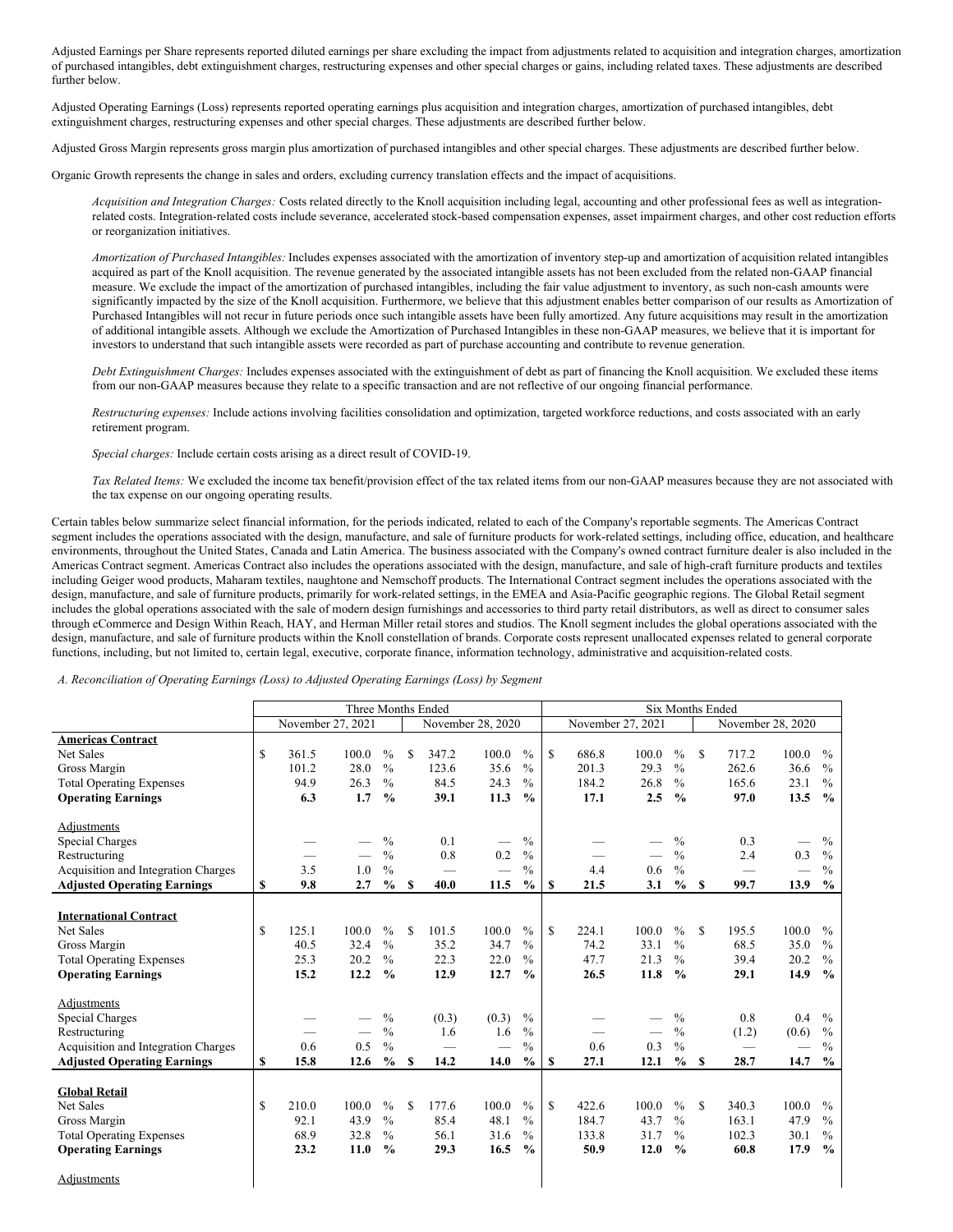Adjusted Earnings per Share represents reported diluted earnings per share excluding the impact from adjustments related to acquisition and integration charges, amortization of purchased intangibles, debt extinguishment charges, restructuring expenses and other special charges or gains, including related taxes. These adjustments are described further below.

Adjusted Operating Earnings (Loss) represents reported operating earnings plus acquisition and integration charges, amortization of purchased intangibles, debt extinguishment charges, restructuring expenses and other special charges. These adjustments are described further below.

Adjusted Gross Margin represents gross margin plus amortization of purchased intangibles and other special charges. These adjustments are described further below.

Organic Growth represents the change in sales and orders, excluding currency translation effects and the impact of acquisitions.

*Acquisition and Integration Charges:* Costs related directly to the Knoll acquisition including legal, accounting and other professional fees as well as integrationrelated costs. Integration-related costs include severance, accelerated stock-based compensation expenses, asset impairment charges, and other cost reduction efforts or reorganization initiatives.

*Amortization of Purchased Intangibles:* Includes expenses associated with the amortization of inventory step-up and amortization of acquisition related intangibles acquired as part of the Knoll acquisition. The revenue generated by the associated intangible assets has not been excluded from the related non-GAAP financial measure. We exclude the impact of the amortization of purchased intangibles, including the fair value adjustment to inventory, as such non-cash amounts were significantly impacted by the size of the Knoll acquisition. Furthermore, we believe that this adjustment enables better comparison of our results as Amortization of Purchased Intangibles will not recur in future periods once such intangible assets have been fully amortized. Any future acquisitions may result in the amortization of additional intangible assets. Although we exclude the Amortization of Purchased Intangibles in these non-GAAP measures, we believe that it is important for investors to understand that such intangible assets were recorded as part of purchase accounting and contribute to revenue generation.

*Debt Extinguishment Charges:* Includes expenses associated with the extinguishment of debt as part of financing the Knoll acquisition. We excluded these items from our non-GAAP measures because they relate to a specific transaction and are not reflective of our ongoing financial performance.

*Restructuring expenses:* Include actions involving facilities consolidation and optimization, targeted workforce reductions, and costs associated with an early retirement program.

*Special charges:* Include certain costs arising as a direct result of COVID-19.

*Tax Related Items:* We excluded the income tax benefit/provision effect of the tax related items from our non-GAAP measures because they are not associated with the tax expense on our ongoing operating results.

Certain tables below summarize select financial information, for the periods indicated, related to each of the Company's reportable segments. The Americas Contract segment includes the operations associated with the design, manufacture, and sale of furniture products for work-related settings, including office, education, and healthcare environments, throughout the United States, Canada and Latin America. The business associated with the Company's owned contract furniture dealer is also included in the Americas Contract segment. Americas Contract also includes the operations associated with the design, manufacture, and sale of high-craft furniture products and textiles including Geiger wood products, Maharam textiles, naughtone and Nemschoff products. The International Contract segment includes the operations associated with the design, manufacture, and sale of furniture products, primarily for work-related settings, in the EMEA and Asia-Pacific geographic regions. The Global Retail segment includes the global operations associated with the sale of modern design furnishings and accessories to third party retail distributors, as well as direct to consumer sales through eCommerce and Design Within Reach, HAY, and Herman Miller retail stores and studios. The Knoll segment includes the global operations associated with the design, manufacture, and sale of furniture products within the Knoll constellation of brands. Corporate costs represent unallocated expenses related to general corporate functions, including, but not limited to, certain legal, executive, corporate finance, information technology, administrative and acquisition-related costs.

*A. Reconciliation of Operating Earnings (Loss) to Adjusted Operating Earnings (Loss) by Segment*

|                                     |    |                   | Three Months Ended       |                |               |                          |                   |                             |              |       |                                 |               |     | Six Months Ended |                   |               |
|-------------------------------------|----|-------------------|--------------------------|----------------|---------------|--------------------------|-------------------|-----------------------------|--------------|-------|---------------------------------|---------------|-----|------------------|-------------------|---------------|
|                                     |    | November 27, 2021 |                          |                |               |                          | November 28, 2020 |                             |              |       | November 27, 2021               |               |     |                  | November 28, 2020 |               |
| <b>Americas Contract</b>            |    |                   |                          |                |               |                          |                   |                             |              |       |                                 |               |     |                  |                   |               |
| <b>Net Sales</b>                    | S  | 361.5             | 100.0                    | $\frac{0}{0}$  | S             | 347.2                    | 100.0             | $\sqrt[0]{\hskip -1.2pt 0}$ | $\mathbf S$  | 686.8 | 100.0                           | $\frac{0}{0}$ | \$. | 717.2            | 100.0             | $\frac{0}{0}$ |
| Gross Margin                        |    | 101.2             | 28.0                     | $\frac{0}{0}$  |               | 123.6                    | 35.6              | $\frac{0}{0}$               |              | 201.3 | 29.3                            | $\frac{0}{0}$ |     | 262.6            | 36.6              | $\frac{0}{0}$ |
| <b>Total Operating Expenses</b>     |    | 94.9              | 26.3                     | $\frac{0}{0}$  |               | 84.5                     | 24.3              | $\frac{0}{0}$               |              | 184.2 | 26.8                            | $\frac{0}{0}$ |     | 165.6            | 23.1              | $\frac{0}{0}$ |
| <b>Operating Earnings</b>           |    | 6.3               | 1.7                      | $\frac{0}{0}$  |               | 39.1                     | 11.3              | $\frac{0}{0}$               |              | 17.1  | 2.5                             | $\frac{0}{0}$ |     | 97.0             | 13.5              | $\frac{0}{0}$ |
|                                     |    |                   |                          |                |               |                          |                   |                             |              |       |                                 |               |     |                  |                   |               |
| Adjustments                         |    |                   |                          |                |               |                          |                   |                             |              |       |                                 |               |     |                  |                   |               |
| Special Charges                     |    |                   |                          | $\%$           |               | 0.1                      | -                 | $\%$                        |              |       |                                 | $\%$          |     | 0.3              |                   | $\frac{0}{0}$ |
| Restructuring                       |    |                   | $\overline{\phantom{0}}$ | $\frac{0}{0}$  |               | 0.8                      | 0.2               | $\frac{0}{0}$               |              | -     |                                 | $\frac{0}{0}$ |     | 2.4              | 0.3               | $\frac{0}{0}$ |
| Acquisition and Integration Charges |    | 3.5               | 1.0                      | $\frac{0}{0}$  |               | $\overline{\phantom{0}}$ |                   | $\frac{0}{0}$               |              | 4.4   | 0.6                             | $\frac{0}{0}$ |     |                  |                   | $\frac{0}{0}$ |
| <b>Adjusted Operating Earnings</b>  | S  | 9.8               | 2.7                      | $\frac{0}{0}$  | S             | 40.0                     | 11.5              | $\frac{0}{0}$               | S            | 21.5  | 3.1                             | $\frac{0}{0}$ | S   | 99.7             | 13.9              | $\frac{0}{0}$ |
|                                     |    |                   |                          |                |               |                          |                   |                             |              |       |                                 |               |     |                  |                   |               |
| <b>International Contract</b>       |    |                   |                          |                |               |                          |                   |                             |              |       |                                 |               |     |                  |                   |               |
| Net Sales                           | \$ | 125.1             | 100.0                    | $\frac{0}{0}$  | <sup>\$</sup> | 101.5                    | 100.0             | $\frac{0}{0}$               | $\mathbf S$  | 224.1 | 100.0                           | $\frac{0}{0}$ | \$. | 195.5            | 100.0             | $\frac{0}{0}$ |
| Gross Margin                        |    | 40.5              | 32.4                     | $\frac{0}{0}$  |               | 35.2                     | 34.7              | $\%$                        |              | 74.2  | 33.1                            | $\frac{0}{0}$ |     | 68.5             | 35.0              | $\frac{0}{0}$ |
| <b>Total Operating Expenses</b>     |    | 25.3              | 20.2                     | $\frac{0}{0}$  |               | 22.3                     | 22.0              | $\frac{0}{0}$               |              | 47.7  | 21.3                            | $\frac{0}{0}$ |     | 39.4             | 20.2              | $\frac{0}{0}$ |
| <b>Operating Earnings</b>           |    | 15.2              | 12.2                     | $\frac{0}{0}$  |               | 12.9                     | 12.7              | $\frac{0}{0}$               |              | 26.5  | 11.8                            | $\frac{0}{0}$ |     | 29.1             | 14.9              | $\frac{0}{0}$ |
| Adjustments                         |    |                   |                          |                |               |                          |                   |                             |              |       |                                 |               |     |                  |                   |               |
| Special Charges                     |    |                   |                          | $\%$           |               | (0.3)                    | (0.3)             | $\%$                        |              |       |                                 | $\%$          |     | 0.8              | 0.4               | $\frac{0}{0}$ |
| Restructuring                       |    |                   |                          | $\frac{0}{0}$  |               | 1.6                      | 1.6               | $\frac{0}{0}$               |              |       | $\overbrace{\qquad \qquad }^{}$ | $\%$          |     | (1.2)            | (0.6)             | $\%$          |
| Acquisition and Integration Charges |    | 0.6               | 0.5                      | $\frac{0}{0}$  |               |                          |                   | $\frac{0}{0}$               |              | 0.6   | 0.3                             | $\frac{0}{0}$ |     |                  |                   | $\frac{0}{0}$ |
| <b>Adjusted Operating Earnings</b>  | S  | 15.8              | 12.6                     | $\frac{6}{10}$ | S             | 14.2                     | 14.0              | $\%$                        | S            | 27.1  | 12.1                            | $\frac{6}{6}$ | S   | 28.7             | 14.7              | $\frac{0}{0}$ |
|                                     |    |                   |                          |                |               |                          |                   |                             |              |       |                                 |               |     |                  |                   |               |
| <b>Global Retail</b>                |    |                   |                          |                |               |                          |                   |                             |              |       |                                 |               |     |                  |                   |               |
| Net Sales                           | S  | 210.0             | 100.0                    | $\frac{0}{0}$  | <sup>\$</sup> | 177.6                    | 100.0             | $\frac{0}{0}$               | $\mathbb{S}$ | 422.6 | 100.0                           | $\frac{0}{0}$ | S   | 340.3            | 100.0             | $\frac{0}{0}$ |
| Gross Margin                        |    | 92.1              | 43.9                     | $\frac{0}{0}$  |               | 85.4                     | 48.1              | $\frac{0}{0}$               |              | 184.7 | 43.7                            | $\frac{0}{0}$ |     | 163.1            | 47.9              | $\frac{0}{0}$ |
| <b>Total Operating Expenses</b>     |    | 68.9              | 32.8                     | $\frac{0}{0}$  |               | 56.1                     | 31.6              | $\frac{0}{0}$               |              | 133.8 | 31.7                            | $\frac{0}{0}$ |     | 102.3            | 30.1              | $\frac{0}{0}$ |
| <b>Operating Earnings</b>           |    | 23.2              | 11.0                     | $\frac{0}{0}$  |               | 29.3                     | 16.5              | $\frac{0}{0}$               |              | 50.9  | 12.0                            | $\frac{0}{0}$ |     | 60.8             | 17.9              | $\frac{0}{0}$ |
|                                     |    |                   |                          |                |               |                          |                   |                             |              |       |                                 |               |     |                  |                   |               |
| <b>Adjustments</b>                  |    |                   |                          |                |               |                          |                   |                             |              |       |                                 |               |     |                  |                   |               |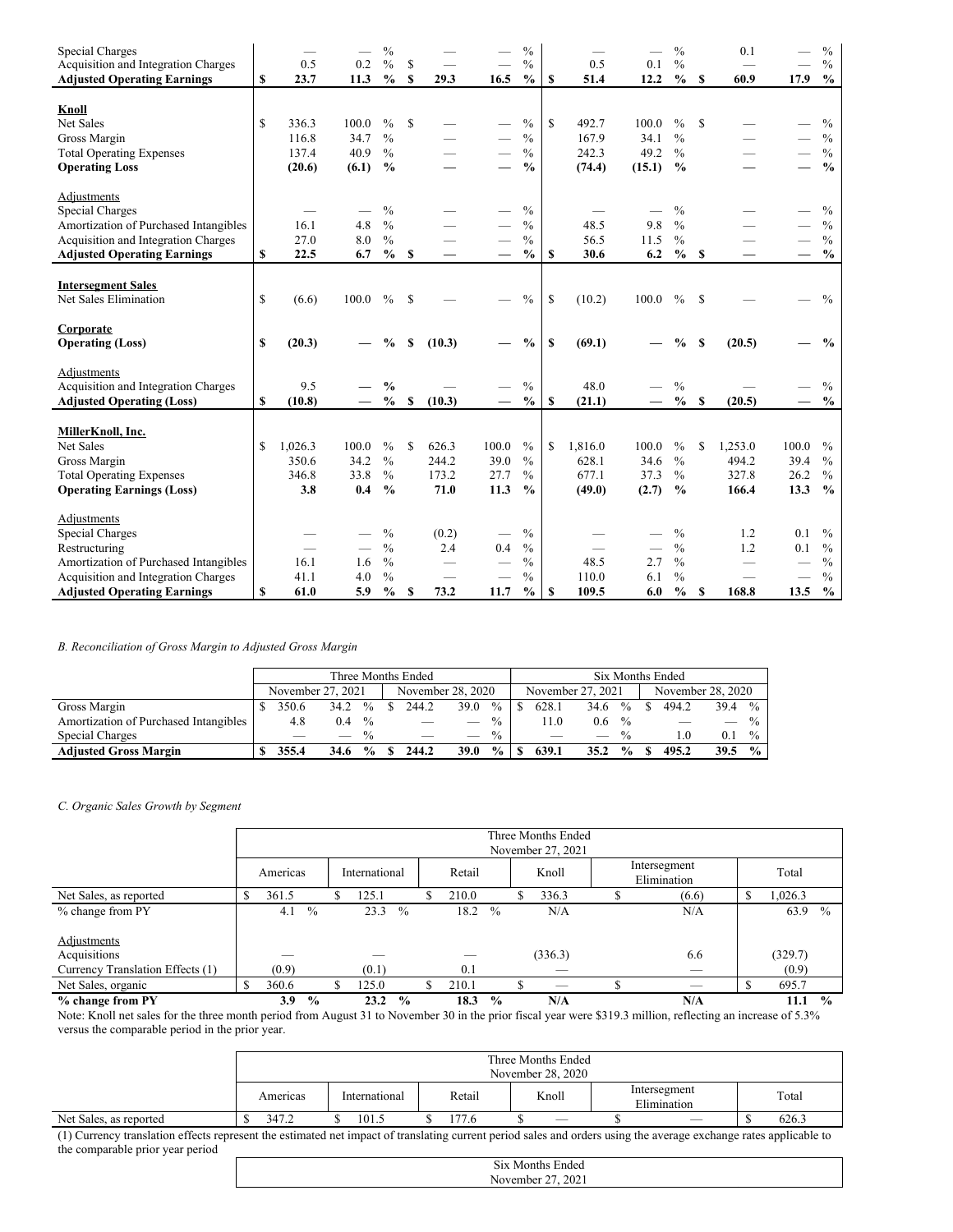| Special Charges<br>Acquisition and Integration Charges |               | 0.5            | 0.2          | $\%$<br>$\frac{0}{0}$          | \$            |                               |                          | $\frac{0}{0}$<br>$\%$          |               | 0.5                             | $\overline{\phantom{0}}$<br>0.1 | $\%$<br>$\%$                   |               | 0.1<br>$\overline{\phantom{0}}$ |                          | $\frac{0}{0}$<br>$\%$          |
|--------------------------------------------------------|---------------|----------------|--------------|--------------------------------|---------------|-------------------------------|--------------------------|--------------------------------|---------------|---------------------------------|---------------------------------|--------------------------------|---------------|---------------------------------|--------------------------|--------------------------------|
| <b>Adjusted Operating Earnings</b>                     | S             | 23.7           | 11.3         | $\frac{0}{0}$                  | S             | 29.3                          | 16.5                     | $\frac{0}{0}$                  | S             | 51.4                            | 12.2                            | $\frac{0}{0}$                  | S             | 60.9                            | 17.9                     | $\frac{0}{0}$                  |
|                                                        |               |                |              |                                |               |                               |                          |                                |               |                                 |                                 |                                |               |                                 |                          |                                |
| Knoll                                                  |               |                |              |                                |               |                               |                          |                                |               |                                 |                                 |                                |               |                                 |                          |                                |
| Net Sales                                              | <sup>\$</sup> | 336.3          | 100.0        | $\frac{0}{0}$<br>$\frac{0}{0}$ | <sup>\$</sup> |                               |                          | $\frac{0}{0}$<br>$\frac{0}{0}$ | <sup>\$</sup> | 492.7                           | 100.0<br>34.1                   | $\frac{0}{0}$<br>$\frac{0}{0}$ | <sup>\$</sup> |                                 |                          | $\frac{0}{0}$                  |
| Gross Margin                                           |               | 116.8<br>137.4 | 34.7<br>40.9 | $\frac{0}{0}$                  |               |                               |                          | $\%$                           |               | 167.9<br>242.3                  | 49.2                            | $\frac{0}{0}$                  |               |                                 |                          | $\frac{0}{0}$<br>$\frac{0}{0}$ |
| <b>Total Operating Expenses</b>                        |               | (20.6)         |              | $\frac{0}{0}$                  |               |                               |                          | $\frac{0}{0}$                  |               | (74.4)                          |                                 | $\frac{0}{0}$                  |               |                                 |                          | $\frac{0}{0}$                  |
| <b>Operating Loss</b>                                  |               |                | (6.1)        |                                |               |                               |                          |                                |               |                                 | (15.1)                          |                                |               |                                 |                          |                                |
| Adjustments                                            |               |                |              |                                |               |                               |                          |                                |               |                                 |                                 |                                |               |                                 |                          |                                |
| Special Charges                                        |               |                |              | $\frac{0}{0}$                  |               |                               |                          | $\frac{0}{0}$                  |               |                                 |                                 | $\frac{0}{0}$                  |               |                                 |                          | $\frac{0}{0}$                  |
| Amortization of Purchased Intangibles                  |               | 16.1           | 4.8          | $\frac{0}{0}$                  |               |                               |                          | $\frac{0}{0}$                  |               | 48.5                            | 9.8                             | $\frac{0}{0}$                  |               |                                 |                          | $\frac{0}{0}$                  |
| Acquisition and Integration Charges                    |               | 27.0           | 8.0          | $\frac{0}{0}$                  |               |                               |                          | $\frac{0}{0}$                  |               | 56.5                            | 11.5                            | $\frac{0}{0}$                  |               |                                 |                          | $\%$                           |
| <b>Adjusted Operating Earnings</b>                     | S             | 22.5           | 6.7          | $\frac{0}{0}$                  | -S            |                               | —                        | $\frac{0}{0}$                  | S             | 30.6                            | 6.2                             | $\frac{0}{0}$                  | S             | —                               | —                        | $\frac{0}{0}$                  |
|                                                        |               |                |              |                                |               |                               |                          |                                |               |                                 |                                 |                                |               |                                 |                          |                                |
| <b>Intersegment Sales</b>                              |               |                |              |                                |               |                               |                          |                                |               |                                 |                                 |                                |               |                                 |                          |                                |
| Net Sales Elimination                                  | \$            | (6.6)          | 100.0        | $\frac{0}{0}$                  | <sup>\$</sup> |                               |                          | $\frac{0}{0}$                  | \$            | (10.2)                          | 100.0                           | $\frac{0}{0}$                  | \$            |                                 |                          | $\frac{0}{0}$                  |
|                                                        |               |                |              |                                |               |                               |                          |                                |               |                                 |                                 |                                |               |                                 |                          |                                |
| Corporate                                              |               |                |              |                                |               |                               |                          |                                |               |                                 |                                 |                                |               |                                 |                          |                                |
| <b>Operating (Loss)</b>                                | S             | (20.3)         |              | $\frac{0}{0}$                  | S             | (10.3)                        |                          | $\frac{0}{0}$                  | S             | (69.1)                          |                                 | $\frac{0}{0}$                  | S             | (20.5)                          |                          | $\frac{0}{0}$                  |
|                                                        |               |                |              |                                |               |                               |                          |                                |               |                                 |                                 |                                |               |                                 |                          |                                |
| Adjustments                                            |               |                |              |                                |               |                               |                          |                                |               |                                 |                                 |                                |               |                                 |                          |                                |
| Acquisition and Integration Charges                    |               | 9.5            |              | $\frac{0}{0}$                  |               |                               |                          | $\frac{0}{0}$                  |               | 48.0                            |                                 | $\%$                           |               |                                 |                          | $\%$                           |
| <b>Adjusted Operating (Loss)</b>                       | S             | (10.8)         |              | $\frac{0}{0}$                  | S             | (10.3)                        |                          | $\frac{0}{0}$                  | S             | (21.1)                          |                                 | $\frac{0}{0}$                  | \$            | (20.5)                          |                          | $\frac{0}{0}$                  |
|                                                        |               |                |              |                                |               |                               |                          |                                |               |                                 |                                 |                                |               |                                 |                          |                                |
| MillerKnoll, Inc.<br>Net Sales                         | \$            | 1,026.3        | 100.0        | $\frac{0}{0}$                  | S             | 626.3                         | 100.0                    | $\frac{0}{0}$                  | \$            | 1,816.0                         | 100.0                           | $\frac{0}{0}$                  | \$            | 1,253.0                         | 100.0                    | $\frac{0}{0}$                  |
| Gross Margin                                           |               | 350.6          | 34.2         | $\frac{0}{0}$                  |               | 244.2                         | 39.0                     | $\frac{0}{0}$                  |               | 628.1                           | 34.6                            | $\frac{0}{0}$                  |               | 494.2                           | 39.4                     | $\frac{0}{0}$                  |
| <b>Total Operating Expenses</b>                        |               | 346.8          | 33.8         | $\frac{0}{0}$                  |               | 173.2                         | 27.7                     | $\frac{0}{0}$                  |               | 677.1                           | 37.3                            | $\frac{0}{0}$                  |               | 327.8                           | 26.2                     | $\frac{0}{0}$                  |
| <b>Operating Earnings (Loss)</b>                       |               | 3.8            | 0.4          | $\frac{0}{0}$                  |               | 71.0                          | 11.3                     | $\frac{0}{0}$                  |               | (49.0)                          | (2.7)                           | $\frac{0}{0}$                  |               | 166.4                           | 13.3                     | $\frac{0}{0}$                  |
|                                                        |               |                |              |                                |               |                               |                          |                                |               |                                 |                                 |                                |               |                                 |                          |                                |
| Adjustments                                            |               |                |              |                                |               |                               |                          |                                |               |                                 |                                 |                                |               |                                 |                          |                                |
| Special Charges                                        |               |                |              | $\%$                           |               | (0.2)                         | $\overline{\phantom{0}}$ | $\frac{0}{0}$                  |               |                                 |                                 | $\%$                           |               | 1.2                             | 0.1                      | $\%$                           |
| Restructuring                                          |               |                | -            | $\frac{0}{0}$                  |               | 2.4                           | 0.4                      | $\%$                           |               | $\overbrace{\qquad \qquad }^{}$ | -                               | $\frac{0}{0}$                  |               | 1.2                             | 0.1                      | $\frac{0}{0}$                  |
| Amortization of Purchased Intangibles                  |               | 16.1           | 1.6          | $\frac{0}{0}$                  |               | $\overbrace{\phantom{12332}}$ | $\overline{\phantom{0}}$ | $\frac{0}{0}$                  |               | 48.5                            | 2.7                             | $\frac{0}{0}$                  |               | $\overline{\phantom{m}}$        |                          | $\frac{0}{0}$                  |
| Acquisition and Integration Charges                    |               | 41.1           | 4.0          | $\frac{0}{0}$                  |               | $\overline{\phantom{m}}$      | -                        | $\frac{0}{0}$                  |               | 110.0                           | 6.1                             | $\frac{0}{0}$                  |               |                                 | $\overline{\phantom{m}}$ | $\frac{0}{0}$                  |
| <b>Adjusted Operating Earnings</b>                     | S             | 61.0           | 5.9          | $\frac{6}{6}$                  | S             | 73.2                          | 11.7                     | $\frac{6}{6}$                  | S             | 109.5                           | 6.0                             | $\frac{0}{0}$                  | S             | 168.8                           | 13.5                     | $\frac{0}{0}$                  |

# *B. Reconciliation of Gross Margin to Adjusted Gross Margin*

|                                       | Three Months Ended             |      |               |  |                          |                          |               |  |                          |      |               | Six Months Ended  |      |               |
|---------------------------------------|--------------------------------|------|---------------|--|--------------------------|--------------------------|---------------|--|--------------------------|------|---------------|-------------------|------|---------------|
|                                       | November 27, 2021              |      |               |  | November 28, 2020        |                          |               |  | November 27, 2021        |      |               | November 28, 2020 |      |               |
| Gross Margin                          | 350.6                          | 34.2 | $\frac{0}{0}$ |  | 244.2                    | 39.0                     | $\%$          |  | 628.1                    | 34.6 | $\frac{0}{0}$ | 494.2             | 39.4 | $\frac{0}{0}$ |
| Amortization of Purchased Intangibles | 4.8                            | 0.4  | $\frac{0}{0}$ |  |                          | $\overline{\phantom{a}}$ | $\frac{0}{0}$ |  | 11.0                     | 0.6  | $\frac{0}{0}$ | __                | -    | $\frac{0}{0}$ |
| Special Charges                       |                                | -    | $\frac{0}{0}$ |  | $\overline{\phantom{a}}$ | $-$                      | $\frac{0}{0}$ |  | $\overline{\phantom{a}}$ | -    | $\frac{0}{0}$ |                   | 0.1  | $\frac{0}{0}$ |
| <b>Adjusted Gross Margin</b>          | $\frac{0}{0}$<br>355.4<br>34.6 |      |               |  | 244.2                    | 39.0                     | $\frac{0}{0}$ |  | 639.1                    | 35.2 | $\frac{0}{0}$ | 495.2             | 39.5 | $\frac{0}{0}$ |

# *C. Organic Sales Growth by Segment*

|                                  |   | Three Months Ended<br>November 27, 2021 |               |    |               |               |   |        |               |    |         |  |                             |  |         |               |
|----------------------------------|---|-----------------------------------------|---------------|----|---------------|---------------|---|--------|---------------|----|---------|--|-----------------------------|--|---------|---------------|
|                                  |   | Americas                                |               |    | International |               |   | Retail |               |    | Knoll   |  | Intersegment<br>Elimination |  | Total   |               |
| Net Sales, as reported           | S | 361.5                                   |               |    | 125.1         |               |   | 210.0  |               | \$ | 336.3   |  | (6.6)                       |  | 0.026.3 |               |
| % change from PY                 |   | 4.1                                     | $\%$          |    | 23.3          | $\frac{0}{0}$ |   | 18.2   | $\frac{0}{0}$ |    | N/A     |  | N/A                         |  | 63.9    | $\frac{0}{0}$ |
| Adjustments                      |   |                                         |               |    |               |               |   |        |               |    |         |  |                             |  |         |               |
| Acquisitions                     |   |                                         |               |    |               |               |   |        |               |    | (336.3) |  | 6.6                         |  | (329.7) |               |
| Currency Translation Effects (1) |   | (0.9)                                   |               |    | (0.1)         |               |   | 0.1    |               |    | _       |  | $-$                         |  | (0.9)   |               |
| Net Sales, organic               | S | 360.6                                   |               | S. | 125.0         |               | S | 210.1  |               | S  | _       |  | __                          |  | 695.7   |               |
| % change from PY                 |   | 3.9                                     | $\frac{0}{0}$ |    | 23.2          | $\frac{0}{0}$ |   | 18.3   | $\frac{0}{0}$ |    | N/A     |  | N/A                         |  | 11.1    | $\frac{0}{0}$ |

Note: Knoll net sales for the three month period from August 31 to November 30 in the prior fiscal year were \$319.3 million, reflecting an increase of 5.3% versus the comparable period in the prior year.

|                                    |          |                                                                                                                                                                                                                                 |        | Three Months Ended<br>November 28, 2020 |                             |                          |          |
|------------------------------------|----------|---------------------------------------------------------------------------------------------------------------------------------------------------------------------------------------------------------------------------------|--------|-----------------------------------------|-----------------------------|--------------------------|----------|
|                                    | Americas | International                                                                                                                                                                                                                   | Retail | Knoll                                   | Intersegment<br>Elimination |                          | Total    |
| Net Sales, as reported             | 347.2    | 101.5                                                                                                                                                                                                                           | 77.6   |                                         |                             | $\overline{\phantom{a}}$ | 626.3    |
| $\sim$ $\sim$<br>$\sim$ 0.0 $\sim$ |          | $\sim$ . The contract of the contract of the contract of the contract of the contract of the contract of the contract of the contract of the contract of the contract of the contract of the contract of the contract of the co | .      |                                         |                             |                          | $\cdots$ |

(1) Currency translation effects represent the estimated net impact of translating current period sales and orders using the average exchange rates applicable to the comparable prior year period

| Six Months Ended  |  |
|-------------------|--|
| November 27, 2021 |  |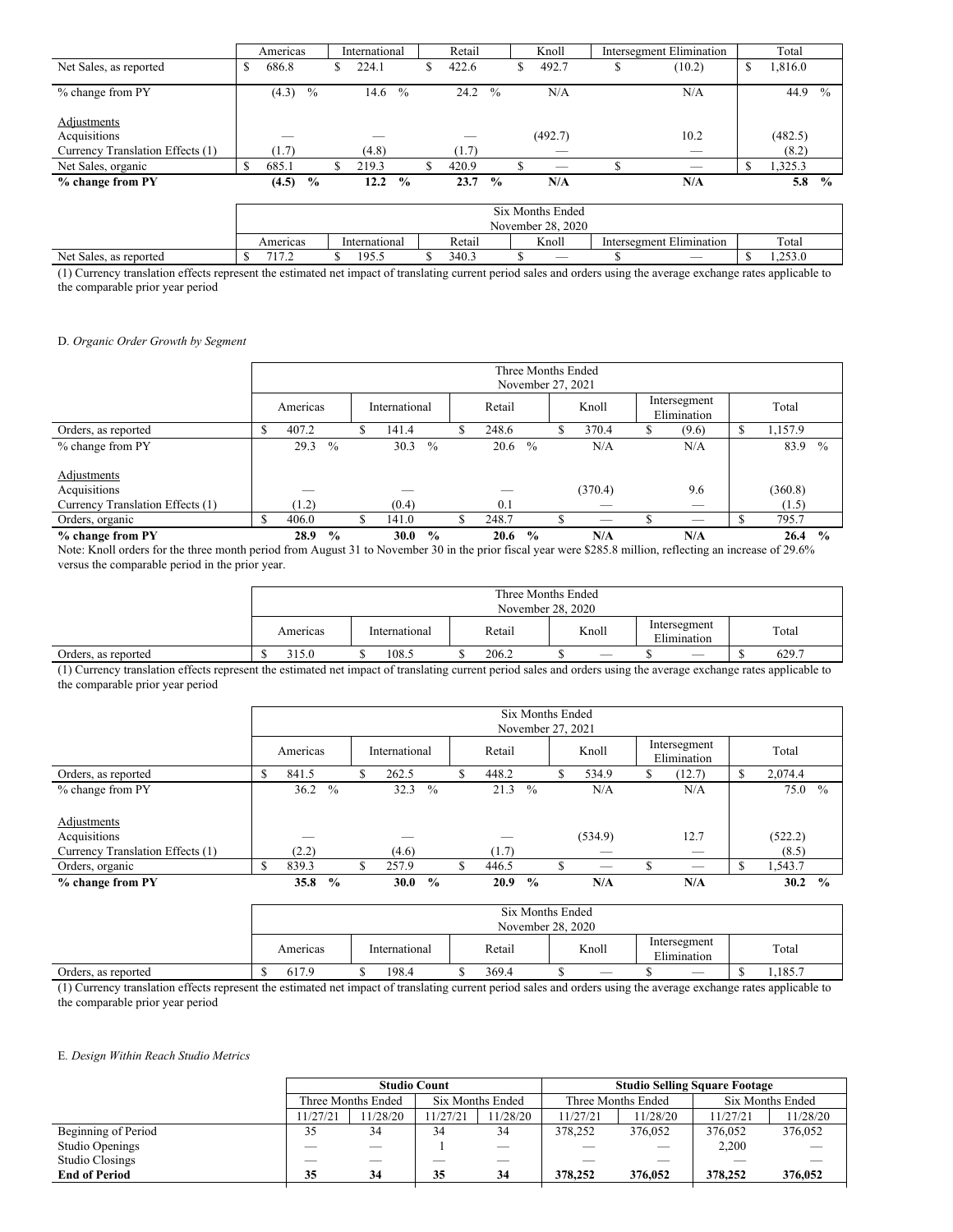|                                  |                   | Americas         |               |   | International |               |   | Retail |               |    | Knoll   |   | <b>Intersegment Elimination</b> | Total         |               |
|----------------------------------|-------------------|------------------|---------------|---|---------------|---------------|---|--------|---------------|----|---------|---|---------------------------------|---------------|---------------|
| Net Sales, as reported           | \$                | 686.8            |               | S | 224.1         |               | S | 422.6  |               | \$ | 492.7   | S | (10.2)                          | \$<br>1,816.0 |               |
| % change from PY                 |                   | (4.3)            | $\frac{0}{0}$ |   | 14.6          | $\frac{0}{0}$ |   | 24.2   | $\frac{0}{0}$ |    | N/A     |   | N/A                             | 44.9          | $\frac{0}{0}$ |
| Adiustments                      |                   |                  |               |   |               |               |   |        |               |    |         |   |                                 |               |               |
| Acquisitions                     |                   |                  |               |   |               |               |   |        |               |    | (492.7) |   | 10.2                            | (482.5)       |               |
| Currency Translation Effects (1) |                   | (1.7)            |               |   | (4.8)         |               |   | (1.7)  |               |    | _       |   | _                               | (8.2)         |               |
| Net Sales, organic               | S                 | 685.1            |               |   | 219.3         |               |   | 420.9  |               | S  | _       |   | _                               | 1,325.3       |               |
| % change from PY                 |                   | (4.5)            | $\frac{0}{0}$ |   | 12.2          | $\frac{0}{0}$ |   | 23.7   | $\frac{0}{0}$ |    | N/A     |   | N/A                             | 5.8           | $\frac{0}{0}$ |
|                                  |                   | Six Months Ended |               |   |               |               |   |        |               |    |         |   |                                 |               |               |
|                                  | November 28, 2020 |                  |               |   |               |               |   |        |               |    |         |   |                                 |               |               |
|                                  |                   | Americas         |               |   | International |               |   | Retail |               |    | Knoll   |   | <b>Intersegment Elimination</b> | Total         |               |
| Net Sales, as reported           | S                 | 717.2            |               |   | 195.5         |               |   | 340.3  |               |    |         |   |                                 | 1,253.0       |               |

(1) Currency translation effects represent the estimated net impact of translating current period sales and orders using the average exchange rates applicable to the comparable prior year period

# D*. Organic Order Growth by Segment*

|                                  | Three Months Ended<br>November 27, 2021 |               |  |               |               |   |        |               |   |                          |                             |         |               |
|----------------------------------|-----------------------------------------|---------------|--|---------------|---------------|---|--------|---------------|---|--------------------------|-----------------------------|---------|---------------|
|                                  | Americas                                |               |  | International |               |   | Retail |               |   | Knoll                    | Intersegment<br>Elimination | Total   |               |
| Orders, as reported              | 407.2                                   |               |  | 141.4         |               |   | 248.6  |               | S | 370.4                    | (9.6)                       | 1,157.9 |               |
| % change from PY                 | 29.3                                    | $\%$          |  | 30.3          | $\frac{0}{0}$ |   | 20.6   | $\frac{0}{0}$ |   | N/A                      | N/A                         | 83.9    | $\frac{0}{0}$ |
| Adjustments                      |                                         |               |  |               |               |   |        |               |   |                          |                             |         |               |
| Acquisitions                     |                                         |               |  |               |               |   |        |               |   | (370.4)                  | 9.6                         | (360.8) |               |
| Currency Translation Effects (1) | (1.2)                                   |               |  | (0.4)         |               |   | 0.1    |               |   | $\overline{\phantom{a}}$ | $-$                         | (1.5)   |               |
| Orders, organic                  | 406.0                                   |               |  | 141.0         |               | S | 248.7  |               | S |                          | $-$                         | 795.7   |               |
| % change from PY                 | 28.9                                    | $\frac{0}{0}$ |  | <b>30.0</b>   | $\frac{0}{0}$ |   | 20.6   | $\frac{0}{0}$ |   | N/A                      | N/A                         | 26.4    | $\frac{0}{0}$ |

Note: Knoll orders for the three month period from August 31 to November 30 in the prior fiscal year were \$285.8 million, reflecting an increase of 29.6% versus the comparable period in the prior year.

|                     |          | Three Months Ended<br>November 28, 2020 |        |                                 |                             |       |  |  |  |  |
|---------------------|----------|-----------------------------------------|--------|---------------------------------|-----------------------------|-------|--|--|--|--|
|                     | Americas | International                           | Retail | Knoll                           | Intersegment<br>Elimination | Total |  |  |  |  |
| Orders, as reported | 315.0    | 108.5                                   | 206.2  | $\hspace{0.1mm}-\hspace{0.1mm}$ | $\overline{\phantom{a}}$    | 629.7 |  |  |  |  |

(1) Currency translation effects represent the estimated net impact of translating current period sales and orders using the average exchange rates applicable to the comparable prior year period

|                                  | Six Months Ended<br>November 27, 2021 |               |   |               |               |        |               |         |   |                             |   |         |               |
|----------------------------------|---------------------------------------|---------------|---|---------------|---------------|--------|---------------|---------|---|-----------------------------|---|---------|---------------|
|                                  | Americas                              |               |   | International |               | Retail |               | Knoll   |   | Intersegment<br>Elimination |   | Total   |               |
| Orders, as reported              | 841.5                                 |               | S | 262.5         |               | 448.2  |               | 534.9   | ъ | (12.7)                      | S | 2,074.4 |               |
| % change from PY                 | 36.2                                  | $\frac{0}{0}$ |   | 32.3          | $\frac{0}{0}$ | 21.3   | $\frac{0}{0}$ | N/A     |   | N/A                         |   | 75.0    | $\frac{0}{0}$ |
| Adjustments                      |                                       |               |   |               |               |        |               |         |   |                             |   |         |               |
| Acquisitions                     |                                       |               |   |               |               |        |               | (534.9) |   | 12.7                        |   | (522.2) |               |
| Currency Translation Effects (1) | (2.2)                                 |               |   | (4.6)         |               | (1.7)  |               | $-$     |   | _                           |   | (8.5)   |               |
| Orders, organic                  | 839.3                                 |               | S | 257.9         |               | 446.5  |               | $-$     |   | _                           |   | 1,543.7 |               |
| % change from PY                 | 35.8                                  | $\frac{6}{9}$ |   | <b>30.0</b>   | $\frac{0}{0}$ | 20.9   | $\frac{0}{0}$ | N/A     |   | N/A                         |   | 30.2    | $\frac{0}{0}$ |

|                     | Six Months Ended<br>November 28, 2020 |               |        |                                 |                             |        |  |  |  |
|---------------------|---------------------------------------|---------------|--------|---------------------------------|-----------------------------|--------|--|--|--|
|                     | Americas                              | International | Retail | Knoll                           | Intersegment<br>Elimination | Total  |  |  |  |
| Orders, as reported | 617.9                                 | 198.4         | 369.4  | $\hspace{0.1mm}-\hspace{0.1mm}$ | $\overline{\phantom{a}}$    | .185.7 |  |  |  |

(1) Currency translation effects represent the estimated net impact of translating current period sales and orders using the average exchange rates applicable to the comparable prior year period

## E*. Design Within Reach Studio Metrics*

|                      |          |                    | <b>Studio Count</b> |                  | <b>Studio Selling Square Footage</b> |          |                  |          |  |  |  |
|----------------------|----------|--------------------|---------------------|------------------|--------------------------------------|----------|------------------|----------|--|--|--|
|                      |          | Three Months Ended |                     | Six Months Ended | Three Months Ended                   |          | Six Months Ended |          |  |  |  |
|                      | 11/27/21 | 1/28/20            | 1/27/21             | 1/28/20          | 11/27/21                             | 11/28/20 | 11/27/21         | 11/28/20 |  |  |  |
| Beginning of Period  | 35       | 34                 | 34                  | 34               | 378.252                              | 376,052  | 376,052          | 376,052  |  |  |  |
| Studio Openings      | __       |                    |                     |                  |                                      |          | 2,200            |          |  |  |  |
| Studio Closings      | __       | -                  | _                   | $\sim$           |                                      | _        |                  |          |  |  |  |
| <b>End of Period</b> | 35       | 34                 | 35                  | 34               | 378,252                              | 376,052  | 378,252          | 376,052  |  |  |  |
|                      |          |                    |                     |                  |                                      |          |                  |          |  |  |  |